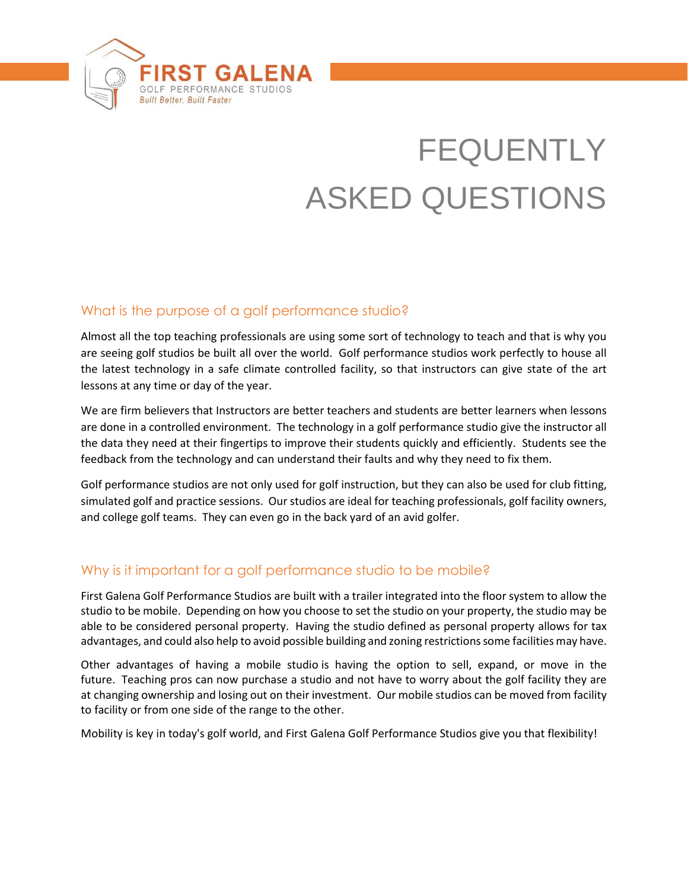

# FEQUENTLY ASKED QUESTIONS

# What is the purpose of a golf performance studio?

Almost all the top teaching professionals are using some sort of technology to teach and that is why you are seeing golf studios be built all over the world. Golf performance studios work perfectly to house all the latest technology in a safe climate controlled facility, so that instructors can give state of the art lessons at any time or day of the year.

We are firm believers that Instructors are better teachers and students are better learners when lessons are done in a controlled environment. The technology in a golf performance studio give the instructor all the data they need at their fingertips to improve their students quickly and efficiently. Students see the feedback from the technology and can understand their faults and why they need to fix them.

Golf performance studios are not only used for golf instruction, but they can also be used for club fitting, simulated golf and practice sessions. Our studios are ideal for teaching professionals, golf facility owners, and college golf teams. They can even go in the back yard of an avid golfer.

# Why is it important for a golf performance studio to be mobile?

First Galena Golf Performance Studios are built with a trailer integrated into the floor system to allow the studio to be mobile. Depending on how you choose to set the studio on your property, the studio may be able to be considered personal property. Having the studio defined as personal property allows for tax advantages, and could also help to avoid possible building and zoning restrictions some facilities may have.

Other advantages of having a mobile studio is having the option to sell, expand, or move in the future. Teaching pros can now purchase a studio and not have to worry about the golf facility they are at changing ownership and losing out on their investment. Our mobile studios can be moved from facility to facility or from one side of the range to the other.

Mobility is key in today's golf world, and First Galena Golf Performance Studios give you that flexibility!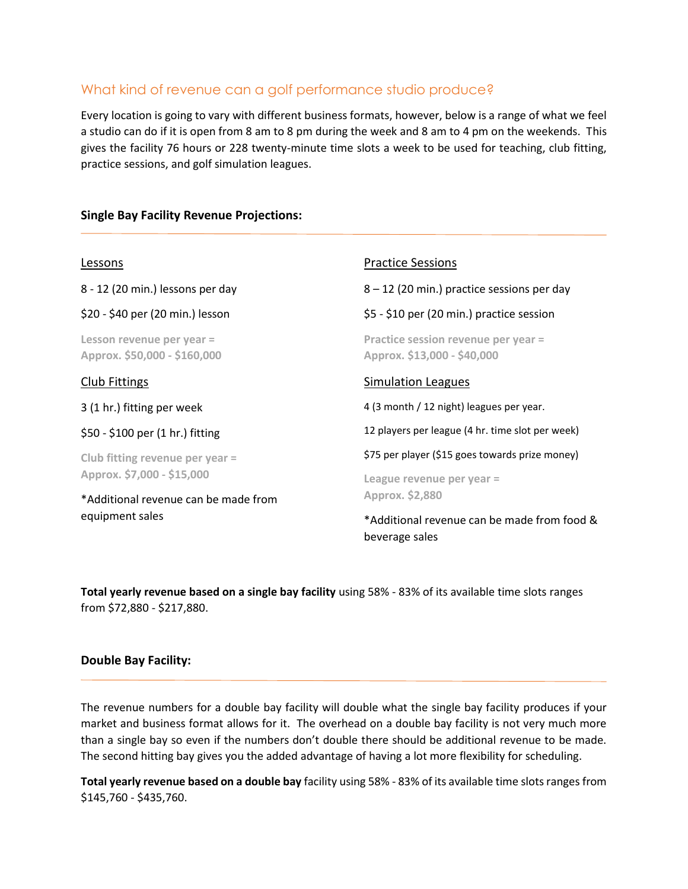# What kind of revenue can a golf performance studio produce?

Every location is going to vary with different business formats, however, below is a range of what we feel a studio can do if it is open from 8 am to 8 pm during the week and 8 am to 4 pm on the weekends. This gives the facility 76 hours or 228 twenty-minute time slots a week to be used for teaching, club fitting, practice sessions, and golf simulation leagues.

#### **Single Bay Facility Revenue Projections:**

| Lessons                                                       | <b>Practice Sessions</b>                                           |
|---------------------------------------------------------------|--------------------------------------------------------------------|
| 8 - 12 (20 min.) lessons per day                              | 8 – 12 (20 min.) practice sessions per day                         |
| \$20 - \$40 per (20 min.) lesson                              | \$5 - \$10 per (20 min.) practice session                          |
| Lesson revenue per year =<br>Approx. \$50,000 - \$160,000     | Practice session revenue per year =<br>Approx. \$13,000 - \$40,000 |
| Club Fittings                                                 | Simulation Leagues                                                 |
| 3 (1 hr.) fitting per week                                    | 4 (3 month / 12 night) leagues per year.                           |
| \$50 - \$100 per (1 hr.) fitting                              | 12 players per league (4 hr. time slot per week)                   |
| Club fitting revenue per year =<br>Approx. \$7,000 - \$15,000 | \$75 per player (\$15 goes towards prize money)                    |
|                                                               | League revenue per year =                                          |
| *Additional revenue can be made from<br>equipment sales       | Approx. \$2,880                                                    |
|                                                               | *Additional revenue can be made from food &<br>beverage sales      |

**Total yearly revenue based on a single bay facility** using 58% - 83% of its available time slots ranges from \$72,880 - \$217,880.

#### **Double Bay Facility:**

The revenue numbers for a double bay facility will double what the single bay facility produces if your market and business format allows for it. The overhead on a double bay facility is not very much more than a single bay so even if the numbers don't double there should be additional revenue to be made. The second hitting bay gives you the added advantage of having a lot more flexibility for scheduling.

**Total yearly revenue based on a double bay** facility using 58% - 83% of its available time slots ranges from \$145,760 - \$435,760.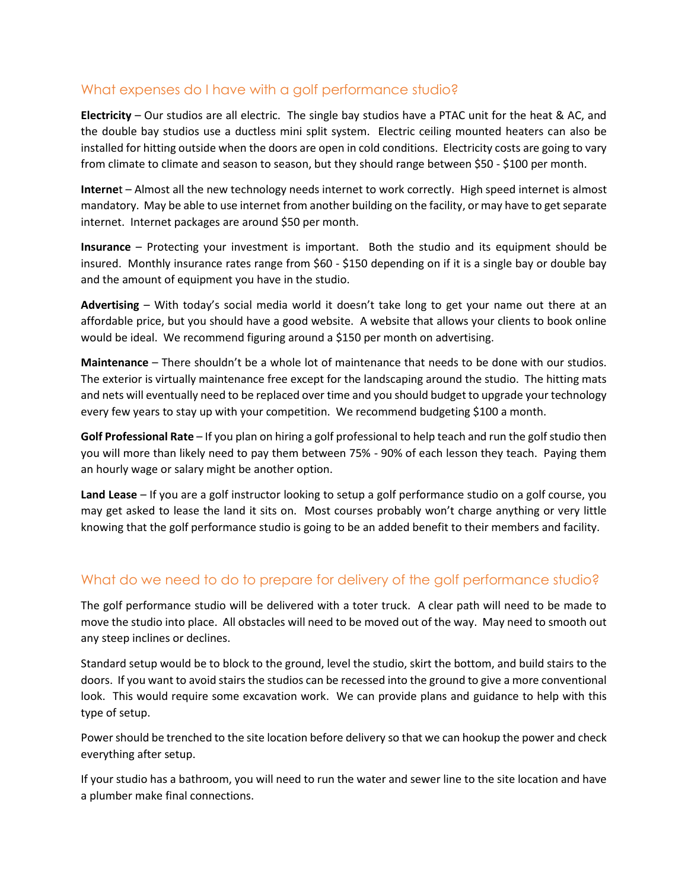## What expenses do I have with a golf performance studio?

**Electricity** – Our studios are all electric. The single bay studios have a PTAC unit for the heat & AC, and the double bay studios use a ductless mini split system. Electric ceiling mounted heaters can also be installed for hitting outside when the doors are open in cold conditions. Electricity costs are going to vary from climate to climate and season to season, but they should range between \$50 - \$100 per month.

**Interne**t – Almost all the new technology needs internet to work correctly. High speed internet is almost mandatory. May be able to use internet from another building on the facility, or may have to get separate internet. Internet packages are around \$50 per month.

**Insurance** – Protecting your investment is important. Both the studio and its equipment should be insured. Monthly insurance rates range from \$60 - \$150 depending on if it is a single bay or double bay and the amount of equipment you have in the studio.

**Advertising** – With today's social media world it doesn't take long to get your name out there at an affordable price, but you should have a good website. A website that allows your clients to book online would be ideal. We recommend figuring around a \$150 per month on advertising.

**Maintenance** – There shouldn't be a whole lot of maintenance that needs to be done with our studios. The exterior is virtually maintenance free except for the landscaping around the studio. The hitting mats and nets will eventually need to be replaced over time and you should budget to upgrade your technology every few years to stay up with your competition. We recommend budgeting \$100 a month.

**Golf Professional Rate** – If you plan on hiring a golf professional to help teach and run the golf studio then you will more than likely need to pay them between 75% - 90% of each lesson they teach. Paying them an hourly wage or salary might be another option.

**Land Lease** – If you are a golf instructor looking to setup a golf performance studio on a golf course, you may get asked to lease the land it sits on. Most courses probably won't charge anything or very little knowing that the golf performance studio is going to be an added benefit to their members and facility.

# What do we need to do to prepare for delivery of the golf performance studio?

The golf performance studio will be delivered with a toter truck. A clear path will need to be made to move the studio into place. All obstacles will need to be moved out of the way. May need to smooth out any steep inclines or declines.

Standard setup would be to block to the ground, level the studio, skirt the bottom, and build stairs to the doors. If you want to avoid stairs the studios can be recessed into the ground to give a more conventional look. This would require some excavation work. We can provide plans and guidance to help with this type of setup.

Power should be trenched to the site location before delivery so that we can hookup the power and check everything after setup.

If your studio has a bathroom, you will need to run the water and sewer line to the site location and have a plumber make final connections.